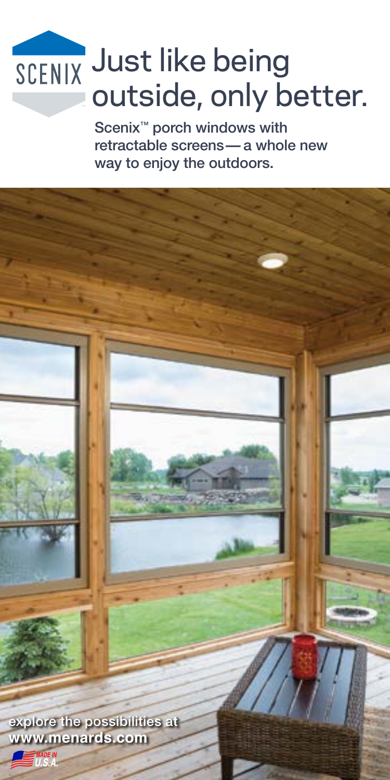# Just like being outside, only better.

Scenix<sup>™</sup> porch windows with retractable screens— a whole new way to enjoy the outdoors.

explore the possibilities at **www.menards.com**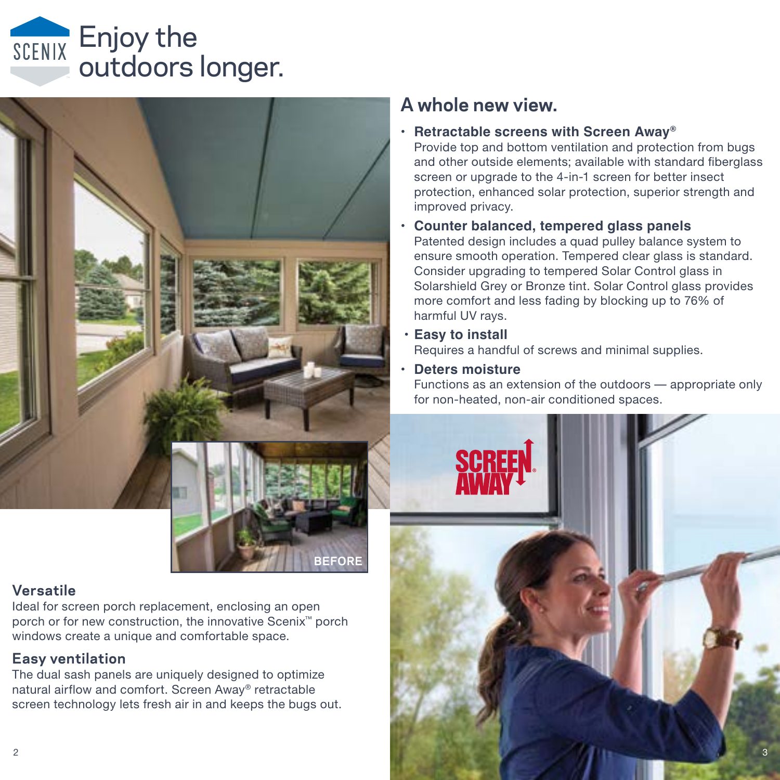# Enjoy the outdoors longer.



#### **Versatile**

Ideal for screen porch replacement, enclosing an open porch or for new construction, the innovative Scenix™ porch windows create a unique and comfortable space.

#### **Easy ventilation**

The dual sash panels are uniquely designed to optimize natural airflow and comfort. Screen Away® retractable screen technology lets fresh air in and keeps the bugs out.

## **A whole new view.**

**• Retractable screens with Screen Away®**

Provide top and bottom ventilation and protection from bugs and other outside elements; available with standard fiberglass screen or upgrade to the 4-in-1 screen for better insect protection, enhanced solar protection, superior strength and improved privacy.

- **• Counter balanced, tempered glass panels** Patented design includes a quad pulley balance system to ensure smooth operation. Tempered clear glass is standard. Consider upgrading to tempered Solar Control glass in Solarshield Grey or Bronze tint. Solar Control glass provides more comfort and less fading by blocking up to 76% of harmful UV rays.
- **• Easy to install**

Requires a handful of screws and minimal supplies.

#### **• Deters moisture**

**BEFORE**

Functions as an extension of the outdoors — appropriate only for non-heated, non-air conditioned spaces.

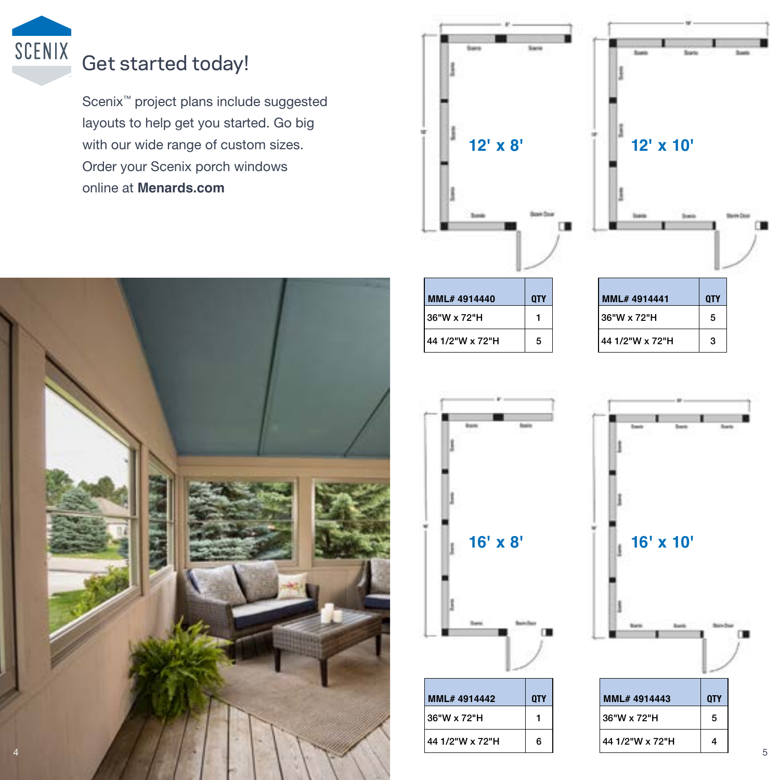

# Get started today!

Scenix™ project plans include suggested layouts to help get you started. Go big with our wide range of custom sizes. Order your Scenix porch windows online at **Menards.com** 







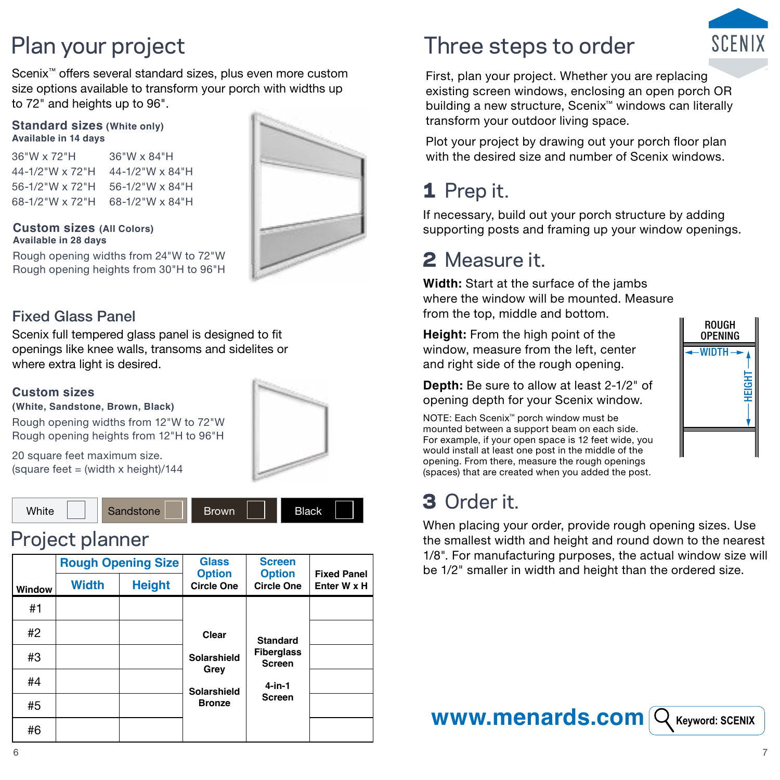Scenix<sup>™</sup> offers several standard sizes, plus even more custom size options available to transform your porch with widths up to 72" and heights up to 96".

#### **Standard sizes (White only) Available in 14 days**

36"W x 72"H 36"W x 84"H 44-1/2"W x 72"H 44-1/2"W x 84"H 56-1/2"W x 72"H 56-1/2"W x 84"H 68-1/2"W x 72"H 68-1/2"W x 84"H



Rough opening widths from 24"W to 72"W Rough opening heights from 30"H to 96"H

#### Fixed Glass Panel

**Available in 28 days**

Scenix full tempered glass panel is designed to fit openings like knee walls, transoms and sidelites or where extra light is desired.

#### **Custom sizes**

**(White, Sandstone, Brown, Black)**

Rough opening widths from 12"W to 72"W Rough opening heights from 12"H to 96"H

20 square feet maximum size. (square feet = (width x height)/144



## Project planner





# Plan your project Three steps to order



First, plan your project. Whether you are replacing existing screen windows, enclosing an open porch OR building a new structure, Scenix™ windows can literally transform your outdoor living space.

Plot your project by drawing out your porch floor plan with the desired size and number of Scenix windows.

# 1 Prep it.

If necessary, build out your porch structure by adding supporting posts and framing up your window openings.

# 2 Measure it.

**Width:** Start at the surface of the jambs where the window will be mounted. Measure from the top, middle and bottom.

**Height:** From the high point of the window, measure from the left, center and right side of the rough opening.

**Depth:** Be sure to allow at least 2-1/2" of opening depth for your Scenix window.

NOTE: Each Scenix™ porch window must be mounted between a support beam on each side. For example, if your open space is 12 feet wide, you would install at least one post in the middle of the opening. From there, measure the rough openings (spaces) that are created when you added the post.

# 3 Order it.

When placing your order, provide rough opening sizes. Use the smallest width and height and round down to the nearest 1/8". For manufacturing purposes, the actual window size will be 1/2" smaller in width and height than the ordered size.